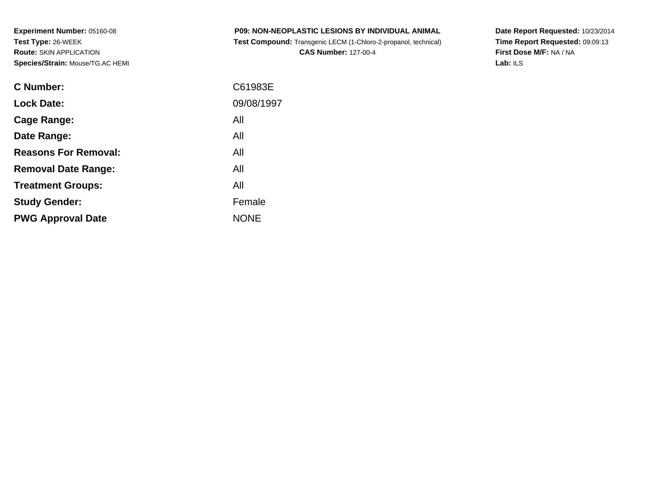| <b>P09: NON-NEOPLASTIC LESIONS BY INDIVIDUAL ANIMAL</b>         |  |
|-----------------------------------------------------------------|--|
| Test Compound: Transgenic LECM (1-Chloro-2-propanol, technical) |  |

**CAS Number:** 127-00-4

**Date Report Requested:** 10/23/2014 **Time Report Requested:** 09:09:13**First Dose M/F:** NA / NA**Lab:** ILS

| C Number:                   | C61983E     |
|-----------------------------|-------------|
| <b>Lock Date:</b>           | 09/08/1997  |
| Cage Range:                 | All         |
| Date Range:                 | All         |
| <b>Reasons For Removal:</b> | All         |
| <b>Removal Date Range:</b>  | All         |
| <b>Treatment Groups:</b>    | All         |
| <b>Study Gender:</b>        | Female      |
| <b>PWG Approval Date</b>    | <b>NONE</b> |
|                             |             |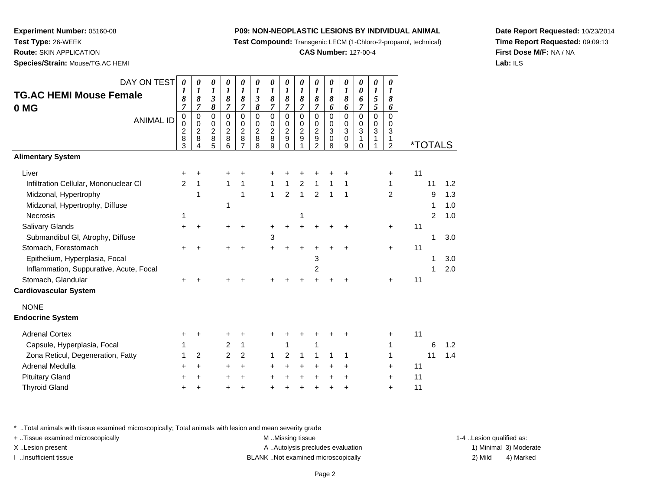**Test Compound:** Transgenic LECM (1-Chloro-2-propanol, technical)

**CAS Number:** 127-00-4

**Date Report Requested:** 10/23/2014**Time Report Requested:** 09:09:13**First Dose M/F:** NA / NA**Lab:** ILS

**Experiment Number:** 05160-08**Test Type:** 26-WEEK**Route:** SKIN APPLICATION

**Species/Strain:** Mouse/TG.AC HEMI

| DAY ON TEST<br><b>TG.AC HEMI Mouse Female</b><br>0 MG<br><b>ANIMAL ID</b> | $\boldsymbol{\theta}$<br>1<br>8<br>7<br>0<br>0<br>$\overline{c}$<br>$\overline{8}$<br>3 | 0<br>1<br>8<br>$\overline{7}$<br>0<br>0<br>$\frac{2}{8}$<br>Δ | $\pmb{\theta}$<br>1<br>$\boldsymbol{\beta}$<br>8<br>0<br>0<br>$\boldsymbol{2}$<br>8<br>5 | $\pmb{\theta}$<br>$\boldsymbol{l}$<br>8<br>$\overline{7}$<br>$\mathbf 0$<br>$\mathbf 0$<br>$\sqrt{2}$<br>8<br>6 | $\pmb{\theta}$<br>$\boldsymbol{l}$<br>8<br>$\overline{7}$<br>$\mathbf 0$<br>$\pmb{0}$<br>$\sqrt{2}$<br>8<br>$\overline{7}$ | 0<br>$\boldsymbol{l}$<br>$\mathfrak{z}$<br>8<br>$\mathbf 0$<br>0<br>$\boldsymbol{2}$<br>8<br>8 | 0<br>$\boldsymbol{l}$<br>8<br>7<br>0<br>0<br>$\overline{c}$<br>8<br>9 | $\boldsymbol{\theta}$<br>$\boldsymbol{l}$<br>8<br>$\overline{7}$<br>$\mathbf 0$<br>0<br>$\overline{2}$<br>9<br>$\Omega$ | 0<br>$\boldsymbol{l}$<br>$\pmb{8}$<br>$\overline{7}$<br>$\mathbf 0$<br>0<br>$\overline{c}$<br>9 | 0<br>$\boldsymbol{l}$<br>8<br>$\overline{7}$<br>$\mathbf 0$<br>0<br>$\overline{c}$<br>9<br>2 | 0<br>1<br>8<br>6<br>$\mathbf 0$<br>0<br>3<br>0<br>8 | $\boldsymbol{\theta}$<br>$\boldsymbol{l}$<br>$\boldsymbol{\delta}$<br>6<br>$\mathbf 0$<br>0<br>$\mathfrak{Z}$<br>$\pmb{0}$<br>9 | $\boldsymbol{\theta}$<br>$\boldsymbol{\theta}$<br>6<br>$\overline{7}$<br>$\mathbf 0$<br>$\Omega$<br>$\mathbf{3}$<br>$\mathbf{1}$<br>$\Omega$ | $\pmb{\theta}$<br>$\boldsymbol{l}$<br>5<br>5<br>$\mathbf 0$<br>0<br>3<br>1 | 0<br>1<br>8<br>6<br>$\Omega$<br>0<br>3<br>1<br>$\overline{c}$ |    | <i><b>*TOTALS</b></i> |     |
|---------------------------------------------------------------------------|-----------------------------------------------------------------------------------------|---------------------------------------------------------------|------------------------------------------------------------------------------------------|-----------------------------------------------------------------------------------------------------------------|----------------------------------------------------------------------------------------------------------------------------|------------------------------------------------------------------------------------------------|-----------------------------------------------------------------------|-------------------------------------------------------------------------------------------------------------------------|-------------------------------------------------------------------------------------------------|----------------------------------------------------------------------------------------------|-----------------------------------------------------|---------------------------------------------------------------------------------------------------------------------------------|----------------------------------------------------------------------------------------------------------------------------------------------|----------------------------------------------------------------------------|---------------------------------------------------------------|----|-----------------------|-----|
| <b>Alimentary System</b>                                                  |                                                                                         |                                                               |                                                                                          |                                                                                                                 |                                                                                                                            |                                                                                                |                                                                       |                                                                                                                         |                                                                                                 |                                                                                              |                                                     |                                                                                                                                 |                                                                                                                                              |                                                                            |                                                               |    |                       |     |
| Liver                                                                     | +                                                                                       | +                                                             |                                                                                          |                                                                                                                 | +                                                                                                                          |                                                                                                |                                                                       |                                                                                                                         |                                                                                                 |                                                                                              |                                                     |                                                                                                                                 |                                                                                                                                              |                                                                            | +                                                             | 11 |                       |     |
| Infiltration Cellular, Mononuclear CI                                     | $\overline{c}$                                                                          | $\mathbf{1}$                                                  |                                                                                          | $\mathbf{1}$                                                                                                    | $\mathbf{1}$                                                                                                               |                                                                                                | 1                                                                     | 1                                                                                                                       | $\overline{2}$                                                                                  | $\mathbf{1}$                                                                                 | 1                                                   | 1                                                                                                                               |                                                                                                                                              |                                                                            | 1                                                             |    | 11                    | 1.2 |
| Midzonal, Hypertrophy                                                     |                                                                                         | 1                                                             |                                                                                          |                                                                                                                 | 1                                                                                                                          |                                                                                                | $\mathbf{1}$                                                          | $\overline{2}$                                                                                                          | $\mathbf{1}$                                                                                    | $\overline{2}$                                                                               | $\mathbf{1}$                                        | 1                                                                                                                               |                                                                                                                                              |                                                                            | $\overline{2}$                                                |    | 9                     | 1.3 |
| Midzonal, Hypertrophy, Diffuse                                            |                                                                                         |                                                               |                                                                                          | 1                                                                                                               |                                                                                                                            |                                                                                                |                                                                       |                                                                                                                         |                                                                                                 |                                                                                              |                                                     |                                                                                                                                 |                                                                                                                                              |                                                                            |                                                               |    | 1                     | 1.0 |
| <b>Necrosis</b>                                                           | 1                                                                                       |                                                               |                                                                                          |                                                                                                                 |                                                                                                                            |                                                                                                |                                                                       |                                                                                                                         | 1                                                                                               |                                                                                              |                                                     |                                                                                                                                 |                                                                                                                                              |                                                                            |                                                               |    | 2                     | 1.0 |
| <b>Salivary Glands</b>                                                    | $\ddot{}$                                                                               | $\ddot{}$                                                     |                                                                                          |                                                                                                                 |                                                                                                                            |                                                                                                |                                                                       |                                                                                                                         |                                                                                                 |                                                                                              |                                                     |                                                                                                                                 |                                                                                                                                              |                                                                            | $\ddot{}$                                                     | 11 |                       |     |
| Submandibul GI, Atrophy, Diffuse                                          |                                                                                         |                                                               |                                                                                          |                                                                                                                 |                                                                                                                            |                                                                                                | 3                                                                     |                                                                                                                         |                                                                                                 |                                                                                              |                                                     |                                                                                                                                 |                                                                                                                                              |                                                                            |                                                               |    | 1                     | 3.0 |
| Stomach, Forestomach                                                      |                                                                                         | +                                                             |                                                                                          |                                                                                                                 |                                                                                                                            |                                                                                                |                                                                       |                                                                                                                         |                                                                                                 |                                                                                              |                                                     |                                                                                                                                 |                                                                                                                                              |                                                                            | $\ddot{}$                                                     | 11 |                       |     |
| Epithelium, Hyperplasia, Focal                                            |                                                                                         |                                                               |                                                                                          |                                                                                                                 |                                                                                                                            |                                                                                                |                                                                       |                                                                                                                         |                                                                                                 | 3                                                                                            |                                                     |                                                                                                                                 |                                                                                                                                              |                                                                            |                                                               |    | 1                     | 3.0 |
| Inflammation, Suppurative, Acute, Focal                                   |                                                                                         |                                                               |                                                                                          |                                                                                                                 |                                                                                                                            |                                                                                                |                                                                       |                                                                                                                         |                                                                                                 | $\overline{c}$                                                                               |                                                     |                                                                                                                                 |                                                                                                                                              |                                                                            |                                                               |    | 1                     | 2.0 |
| Stomach, Glandular                                                        | $\ddot{}$                                                                               | $\ddot{}$                                                     |                                                                                          |                                                                                                                 |                                                                                                                            |                                                                                                |                                                                       |                                                                                                                         |                                                                                                 |                                                                                              |                                                     |                                                                                                                                 |                                                                                                                                              |                                                                            | $\ddot{}$                                                     | 11 |                       |     |
| <b>Cardiovascular System</b>                                              |                                                                                         |                                                               |                                                                                          |                                                                                                                 |                                                                                                                            |                                                                                                |                                                                       |                                                                                                                         |                                                                                                 |                                                                                              |                                                     |                                                                                                                                 |                                                                                                                                              |                                                                            |                                                               |    |                       |     |
| <b>NONE</b>                                                               |                                                                                         |                                                               |                                                                                          |                                                                                                                 |                                                                                                                            |                                                                                                |                                                                       |                                                                                                                         |                                                                                                 |                                                                                              |                                                     |                                                                                                                                 |                                                                                                                                              |                                                                            |                                                               |    |                       |     |
| <b>Endocrine System</b>                                                   |                                                                                         |                                                               |                                                                                          |                                                                                                                 |                                                                                                                            |                                                                                                |                                                                       |                                                                                                                         |                                                                                                 |                                                                                              |                                                     |                                                                                                                                 |                                                                                                                                              |                                                                            |                                                               |    |                       |     |
|                                                                           |                                                                                         |                                                               |                                                                                          |                                                                                                                 |                                                                                                                            |                                                                                                |                                                                       |                                                                                                                         |                                                                                                 |                                                                                              |                                                     |                                                                                                                                 |                                                                                                                                              |                                                                            |                                                               |    |                       |     |
| <b>Adrenal Cortex</b>                                                     | +                                                                                       | +                                                             |                                                                                          | +                                                                                                               |                                                                                                                            |                                                                                                |                                                                       |                                                                                                                         |                                                                                                 |                                                                                              |                                                     |                                                                                                                                 |                                                                                                                                              |                                                                            | +                                                             | 11 |                       |     |
| Capsule, Hyperplasia, Focal                                               | 1                                                                                       |                                                               |                                                                                          | 2                                                                                                               | 1                                                                                                                          |                                                                                                |                                                                       | 1                                                                                                                       |                                                                                                 | 1                                                                                            |                                                     |                                                                                                                                 |                                                                                                                                              |                                                                            | 1                                                             |    | 6                     | 1.2 |
| Zona Reticul, Degeneration, Fatty                                         | 1                                                                                       | 2                                                             |                                                                                          | $\overline{2}$                                                                                                  | $\overline{c}$                                                                                                             |                                                                                                | 1                                                                     | $\overline{2}$                                                                                                          | $\mathbf{1}$                                                                                    | $\mathbf{1}$                                                                                 | 1                                                   | 1                                                                                                                               |                                                                                                                                              |                                                                            | 1                                                             |    | 11                    | 1.4 |
| Adrenal Medulla                                                           | +                                                                                       | $\ddot{}$                                                     |                                                                                          | +                                                                                                               | $\pm$                                                                                                                      |                                                                                                | ٠                                                                     |                                                                                                                         | ٠                                                                                               | $\ddot{}$                                                                                    |                                                     | ÷                                                                                                                               |                                                                                                                                              |                                                                            | $\pm$                                                         | 11 |                       |     |
| <b>Pituitary Gland</b>                                                    | +                                                                                       | $\div$                                                        |                                                                                          | ٠                                                                                                               |                                                                                                                            |                                                                                                |                                                                       |                                                                                                                         |                                                                                                 |                                                                                              |                                                     | ÷                                                                                                                               |                                                                                                                                              |                                                                            | $\ddot{}$                                                     | 11 |                       |     |
| <b>Thyroid Gland</b>                                                      | +                                                                                       | +                                                             |                                                                                          | ٠                                                                                                               | +                                                                                                                          |                                                                                                |                                                                       |                                                                                                                         |                                                                                                 |                                                                                              |                                                     | ٠                                                                                                                               |                                                                                                                                              |                                                                            | +                                                             | 11 |                       |     |

\* ..Total animals with tissue examined microscopically; Total animals with lesion and mean severity grade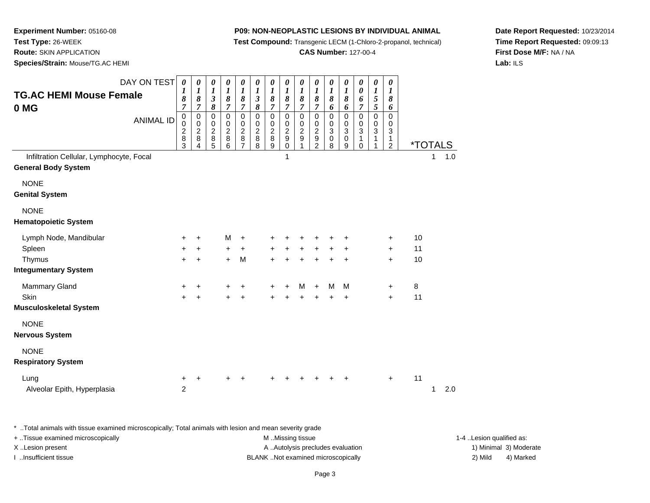**Test Compound:** Transgenic LECM (1-Chloro-2-propanol, technical)

**CAS Number:** 127-00-4

**Date Report Requested:** 10/23/2014**Time Report Requested:** 09:09:13**First Dose M/F:** NA / NA**Lab:** ILS

**Experiment Number:** 05160-08**Test Type:** 26-WEEK**Route:** SKIN APPLICATION

**Species/Strain:** Mouse/TG.AC HEMI

| DAY ON TEST<br><b>TG.AC HEMI Mouse Female</b><br>0 MG<br><b>ANIMAL ID</b><br>Infiltration Cellular, Lymphocyte, Focal | 0<br>1<br>8<br>$\overline{7}$<br>$\pmb{0}$<br>0<br>$\overline{c}$<br>8<br>3 | 0<br>$\boldsymbol{l}$<br>8<br>$\overline{7}$<br>$\mathbf 0$<br>0<br>$\overline{2}$<br>8 | 0<br>$\boldsymbol{l}$<br>$\boldsymbol{\mathfrak{z}}$<br>8<br>0<br>0<br>$\overline{c}$<br>8<br>5 | $\boldsymbol{\theta}$<br>$\boldsymbol{I}$<br>8<br>$\overline{7}$<br>$\pmb{0}$<br>$\mathbf 0$<br>$\overline{2}$<br>$\bf 8$<br>6 | 0<br>$\boldsymbol{l}$<br>$\pmb{8}$<br>7<br>$\pmb{0}$<br>$\mathbf 0$<br>$\boldsymbol{2}$<br>8<br>7 | 0<br>$\boldsymbol{l}$<br>$\mathfrak{z}$<br>8<br>$\mathsf 0$<br>0<br>$\overline{2}$<br>$\bf 8$<br>8 | 0<br>1<br>8<br>$\overline{7}$<br>$\mathsf 0$<br>0<br>$\sqrt{2}$<br>8<br>9 | 0<br>$\boldsymbol{l}$<br>$\boldsymbol{\delta}$<br>$\overline{7}$<br>$\pmb{0}$<br>0<br>$\overline{2}$<br>$\boldsymbol{9}$<br>$\pmb{0}$<br>$\mathbf 1$ | $\boldsymbol{\theta}$<br>$\boldsymbol{l}$<br>8<br>$\overline{7}$<br>$\mathbf 0$<br>$\mathbf 0$<br>$\sqrt{2}$<br>9<br>1 | $\pmb{\theta}$<br>$\boldsymbol{I}$<br>$\pmb{8}$<br>7<br>$\pmb{0}$<br>0<br>$\overline{2}$<br>$\overline{9}$<br>$\overline{c}$ | 0<br>$\boldsymbol{l}$<br>8<br>6<br>0<br>0<br>3<br>0<br>8 | $\pmb{\theta}$<br>$\boldsymbol{l}$<br>$\pmb{8}$<br>6<br>$\mathsf 0$<br>$\pmb{0}$<br>$\overline{3}$<br>$\pmb{0}$<br>9 | 0<br>0<br>6<br>$\overline{7}$<br>0<br>0<br>3<br>1<br>0 | $\pmb{\theta}$<br>$\boldsymbol{I}$<br>$\mathfrak{s}$<br>$\mathfrak{s}$<br>$\mathsf{O}\xspace$<br>$\mathbf 0$<br>$\overline{3}$<br>$\mathbf{1}$ | 0<br>$\boldsymbol{l}$<br>8<br>6<br>$\mathbf 0$<br>0<br>3<br>$\mathbf{1}$<br>$\overline{c}$ | <i><b>*TOTALS</b></i><br>1.0<br>1 |
|-----------------------------------------------------------------------------------------------------------------------|-----------------------------------------------------------------------------|-----------------------------------------------------------------------------------------|-------------------------------------------------------------------------------------------------|--------------------------------------------------------------------------------------------------------------------------------|---------------------------------------------------------------------------------------------------|----------------------------------------------------------------------------------------------------|---------------------------------------------------------------------------|------------------------------------------------------------------------------------------------------------------------------------------------------|------------------------------------------------------------------------------------------------------------------------|------------------------------------------------------------------------------------------------------------------------------|----------------------------------------------------------|----------------------------------------------------------------------------------------------------------------------|--------------------------------------------------------|------------------------------------------------------------------------------------------------------------------------------------------------|--------------------------------------------------------------------------------------------|-----------------------------------|
| <b>General Body System</b>                                                                                            |                                                                             |                                                                                         |                                                                                                 |                                                                                                                                |                                                                                                   |                                                                                                    |                                                                           |                                                                                                                                                      |                                                                                                                        |                                                                                                                              |                                                          |                                                                                                                      |                                                        |                                                                                                                                                |                                                                                            |                                   |
| <b>NONE</b><br><b>Genital System</b>                                                                                  |                                                                             |                                                                                         |                                                                                                 |                                                                                                                                |                                                                                                   |                                                                                                    |                                                                           |                                                                                                                                                      |                                                                                                                        |                                                                                                                              |                                                          |                                                                                                                      |                                                        |                                                                                                                                                |                                                                                            |                                   |
| <b>NONE</b><br><b>Hematopoietic System</b>                                                                            |                                                                             |                                                                                         |                                                                                                 |                                                                                                                                |                                                                                                   |                                                                                                    |                                                                           |                                                                                                                                                      |                                                                                                                        |                                                                                                                              |                                                          |                                                                                                                      |                                                        |                                                                                                                                                |                                                                                            |                                   |
| Lymph Node, Mandibular<br>Spleen<br>Thymus                                                                            | +<br>+<br>$\ddot{}$                                                         | +<br>+<br>$\ddot{}$                                                                     |                                                                                                 | M<br>+<br>$\ddot{}$                                                                                                            | $\pm$<br>+<br>M                                                                                   |                                                                                                    | $\ddot{}$                                                                 | $\ddot{}$                                                                                                                                            | $\pm$<br>$\pm$                                                                                                         | $\ddot{}$<br>$\ddot{}$                                                                                                       | $\ddot{}$                                                | +<br>+<br>$\ddot{}$                                                                                                  |                                                        |                                                                                                                                                | $\ddot{}$<br>$\ddot{}$<br>$\ddot{}$                                                        | 10<br>11<br>10                    |
| <b>Integumentary System</b>                                                                                           |                                                                             |                                                                                         |                                                                                                 |                                                                                                                                |                                                                                                   |                                                                                                    |                                                                           |                                                                                                                                                      |                                                                                                                        |                                                                                                                              |                                                          |                                                                                                                      |                                                        |                                                                                                                                                |                                                                                            |                                   |
| <b>Mammary Gland</b><br>Skin<br><b>Musculoskeletal System</b>                                                         | +<br>+                                                                      | $\ddot{}$<br>$\ddot{}$                                                                  |                                                                                                 | $\ddot{}$                                                                                                                      | $\ddot{}$                                                                                         |                                                                                                    |                                                                           | +<br>$\ddot{}$                                                                                                                                       | м<br>$\ddot{}$                                                                                                         | $+$<br>$\ddot{}$                                                                                                             | м<br>$\ddot{}$                                           | M<br>+                                                                                                               |                                                        |                                                                                                                                                | $\ddot{}$<br>$+$                                                                           | 8<br>11                           |
| <b>NONE</b><br><b>Nervous System</b>                                                                                  |                                                                             |                                                                                         |                                                                                                 |                                                                                                                                |                                                                                                   |                                                                                                    |                                                                           |                                                                                                                                                      |                                                                                                                        |                                                                                                                              |                                                          |                                                                                                                      |                                                        |                                                                                                                                                |                                                                                            |                                   |
| <b>NONE</b><br><b>Respiratory System</b>                                                                              |                                                                             |                                                                                         |                                                                                                 |                                                                                                                                |                                                                                                   |                                                                                                    |                                                                           |                                                                                                                                                      |                                                                                                                        |                                                                                                                              |                                                          |                                                                                                                      |                                                        |                                                                                                                                                |                                                                                            |                                   |
| Lung<br>Alveolar Epith, Hyperplasia                                                                                   | +<br>$\overline{c}$                                                         | +                                                                                       |                                                                                                 |                                                                                                                                |                                                                                                   |                                                                                                    |                                                                           |                                                                                                                                                      |                                                                                                                        |                                                                                                                              |                                                          |                                                                                                                      |                                                        |                                                                                                                                                | $\ddot{}$                                                                                  | 11<br>2.0<br>1                    |

\* ..Total animals with tissue examined microscopically; Total animals with lesion and mean severity grade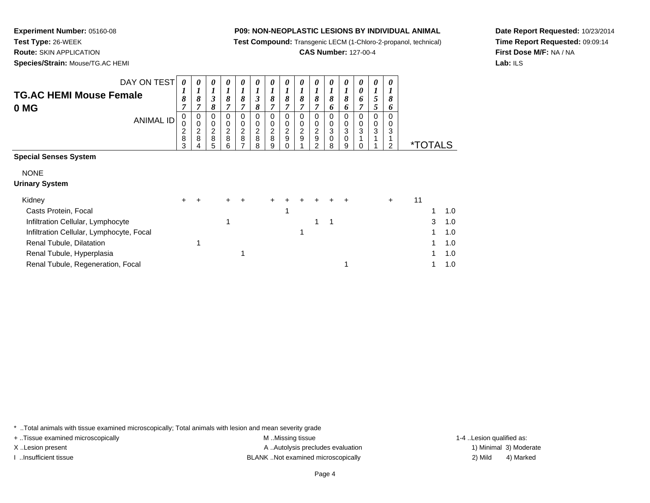**Test Compound:** Transgenic LECM (1-Chloro-2-propanol, technical)

**CAS Number:** 127-00-4

**Date Report Requested:** 10/23/2014**Time Report Requested:** 09:09:14**First Dose M/F:** NA / NA**Lab:** ILS

**Experiment Number:** 05160-08**Test Type:** 26-WEEK **Route:** SKIN APPLICATION**Species/Strain:** Mouse/TG.AC HEMI

| DAY ON TEST<br><b>TG.AC HEMI Mouse Female</b><br>0 MG<br><b>ANIMAL ID</b>                                                                                                                                     | 0<br>8<br>0<br>$\frac{2}{8}$<br>3 | 0<br>1<br>8<br>7<br>0<br>$\pmb{0}$<br>$\begin{array}{c} 2 \\ 8 \end{array}$<br>4 | $\boldsymbol{\beta}$<br>8<br>0<br>0<br>$\frac{2}{8}$<br>5 | 0<br>1<br>8<br>7<br>$\Omega$<br>0<br>$\frac{2}{8}$<br>6 | 8<br>0<br>0<br>$_{\rm 8}^2$ | 0<br>1<br>3<br>8<br>0<br>0<br>$\begin{array}{c} 2 \\ 8 \end{array}$<br>8 | 0<br>8<br>7<br>0<br>0<br>$\frac{2}{8}$<br>9 | 0<br>1<br>8<br>$\overline{7}$<br>0<br>0<br>$\frac{2}{9}$<br>0 | 0<br>8<br>7<br>$\Omega$<br>0<br>$\overline{c}$<br>9 | 0<br>8<br>7<br>$\mathbf 0$<br>0<br>$\frac{2}{9}$<br>2 | 8<br>6<br>0<br>0<br>3<br>0<br>8 | 0<br>1<br>8<br>6<br>0<br>0<br>3<br>0<br>9 | 0<br>0<br>6<br>$\Omega$<br>0<br>3 | 0<br>5<br>5<br>0<br>0<br>3 | 0<br>8<br>6<br>0<br>0<br>3<br>2 | <i><b>*TOTALS</b></i> |   |                                        |
|---------------------------------------------------------------------------------------------------------------------------------------------------------------------------------------------------------------|-----------------------------------|----------------------------------------------------------------------------------|-----------------------------------------------------------|---------------------------------------------------------|-----------------------------|--------------------------------------------------------------------------|---------------------------------------------|---------------------------------------------------------------|-----------------------------------------------------|-------------------------------------------------------|---------------------------------|-------------------------------------------|-----------------------------------|----------------------------|---------------------------------|-----------------------|---|----------------------------------------|
| <b>Special Senses System</b><br><b>NONE</b><br><b>Urinary System</b>                                                                                                                                          |                                   |                                                                                  |                                                           |                                                         |                             |                                                                          |                                             |                                                               |                                                     |                                                       |                                 |                                           |                                   |                            |                                 |                       |   |                                        |
| Kidney<br>Casts Protein, Focal<br>Infiltration Cellular, Lymphocyte<br>Infiltration Cellular, Lymphocyte, Focal<br>Renal Tubule, Dilatation<br>Renal Tubule, Hyperplasia<br>Renal Tubule, Regeneration, Focal | ÷.                                | $\ddot{}$                                                                        |                                                           | 1                                                       |                             |                                                                          |                                             |                                                               | 1                                                   |                                                       | 1                               |                                           |                                   |                            | $\ddot{}$                       | 11                    | 3 | 1.0<br>1.0<br>1.0<br>1.0<br>1.0<br>1.0 |

\* ..Total animals with tissue examined microscopically; Total animals with lesion and mean severity grade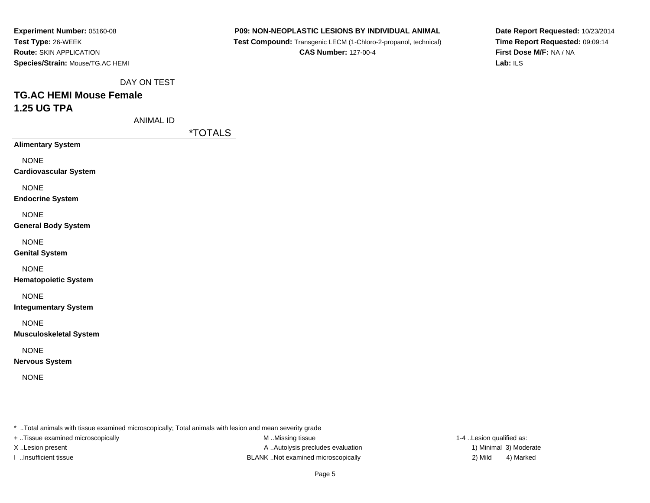**P09: NON-NEOPLASTIC LESIONS BY INDIVIDUAL ANIMAL**

 **Test Compound:** Transgenic LECM (1-Chloro-2-propanol, technical)**CAS Number:** 127-00-4

**Date Report Requested:** 10/23/2014**Time Report Requested:** 09:09:14**First Dose M/F:** NA / NA**Lab:** ILS

DAY ON TEST

# **TG.AC HEMI Mouse Female1.25 UG TPA**

ANIMAL ID

\*TOTALS

**Alimentary System**

NONE

**Cardiovascular System**

NONE

**Endocrine System**

**NONE** 

**General Body System**

NONE

**Genital System**

NONE

**Hematopoietic System**

NONE

**Integumentary System**

NONE

**Musculoskeletal System**

NONE

**Nervous System**

NONE

\* ..Total animals with tissue examined microscopically; Total animals with lesion and mean severity grade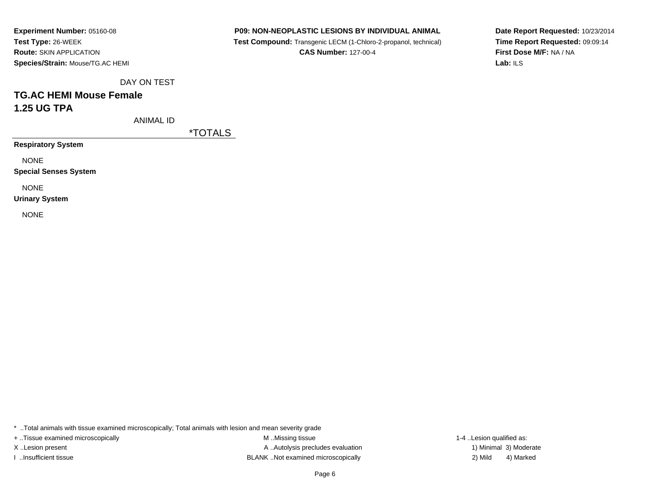**P09: NON-NEOPLASTIC LESIONS BY INDIVIDUAL ANIMAL**

 **Test Compound:** Transgenic LECM (1-Chloro-2-propanol, technical)**CAS Number:** 127-00-4

**Date Report Requested:** 10/23/2014**Time Report Requested:** 09:09:14**First Dose M/F:** NA / NA**Lab:** ILS

DAY ON TEST

# **TG.AC HEMI Mouse Female1.25 UG TPA**

ANIMAL ID

\*TOTALS

**Respiratory System**

NONE

**Special Senses System**

NONE

**Urinary System**

NONE

\* ..Total animals with tissue examined microscopically; Total animals with lesion and mean severity grade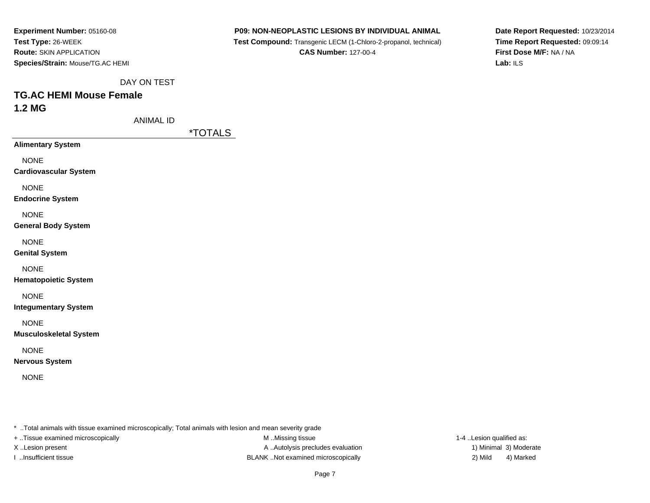**P09: NON-NEOPLASTIC LESIONS BY INDIVIDUAL ANIMAL**

 **Test Compound:** Transgenic LECM (1-Chloro-2-propanol, technical)**CAS Number:** 127-00-4

**Date Report Requested:** 10/23/2014**Time Report Requested:** 09:09:14**First Dose M/F:** NA / NA**Lab:** ILS

DAY ON TEST

# **TG.AC HEMI Mouse Female1.2 MG**

ANIMAL ID

\*TOTALS

**Alimentary System**

NONE

**Cardiovascular System**

NONE

**Endocrine System**

**NONE** 

**General Body System**

NONE

**Genital System**

NONE

**Hematopoietic System**

NONE

**Integumentary System**

NONE

**Musculoskeletal System**

NONE

**Nervous System**

NONE

\* ..Total animals with tissue examined microscopically; Total animals with lesion and mean severity grade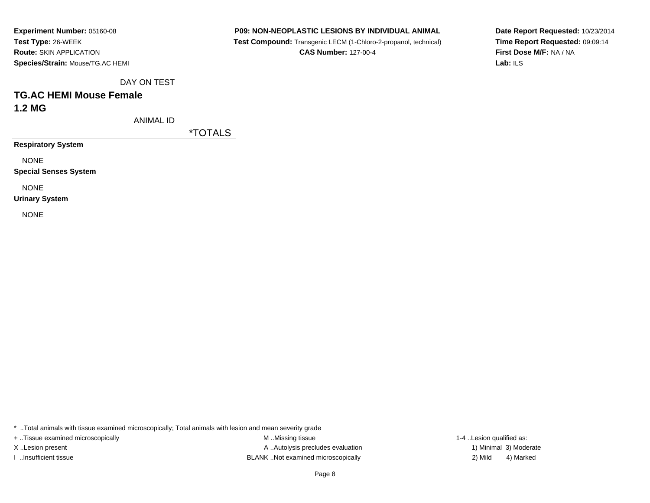**P09: NON-NEOPLASTIC LESIONS BY INDIVIDUAL ANIMAL**

 **Test Compound:** Transgenic LECM (1-Chloro-2-propanol, technical)**CAS Number:** 127-00-4

**Date Report Requested:** 10/23/2014**Time Report Requested:** 09:09:14**First Dose M/F:** NA / NA**Lab:** ILS

DAY ON TEST

#### **TG.AC HEMI Mouse Female1.2 MG**

ANIMAL ID

\*TOTALS

**Respiratory System**

NONE

**Special Senses System**

NONE

**Urinary System**

NONE

\* ..Total animals with tissue examined microscopically; Total animals with lesion and mean severity grade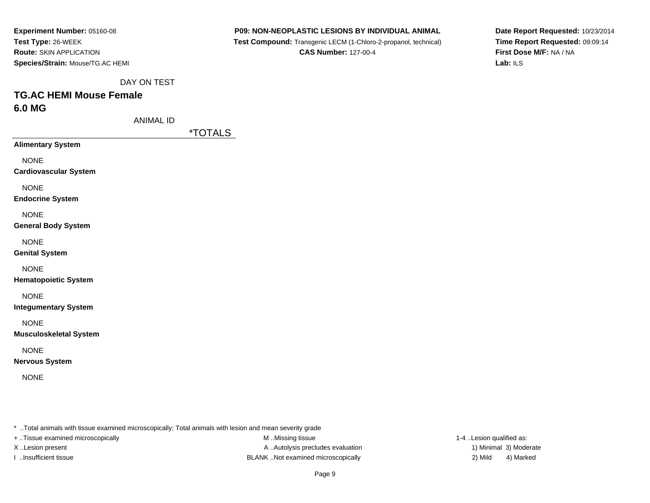| Experiment Number: 05160-08      |
|----------------------------------|
| Test Type: 26-WEEK               |
| <b>Route: SKIN APPLICATION</b>   |
| Species/Strain: Mouse/TG.AC HEMI |

 **Test Compound:** Transgenic LECM (1-Chloro-2-propanol, technical)**CAS Number:** 127-00-4

**Date Report Requested:** 10/23/2014**Time Report Requested:** 09:09:14**First Dose M/F:** NA / NA**Lab:** ILS

DAY ON TEST

# **TG.AC HEMI Mouse Female6.0 MG**

ANIMAL ID

\*TOTALS

**Alimentary System**

NONE

**Cardiovascular System**

NONE

**Endocrine System**

NONE

**General Body System**

NONE

**Genital System**

NONE

**Hematopoietic System**

NONE

**Integumentary System**

NONE

**Musculoskeletal System**

NONE

**Nervous System**

NONE

\* ..Total animals with tissue examined microscopically; Total animals with lesion and mean severity grade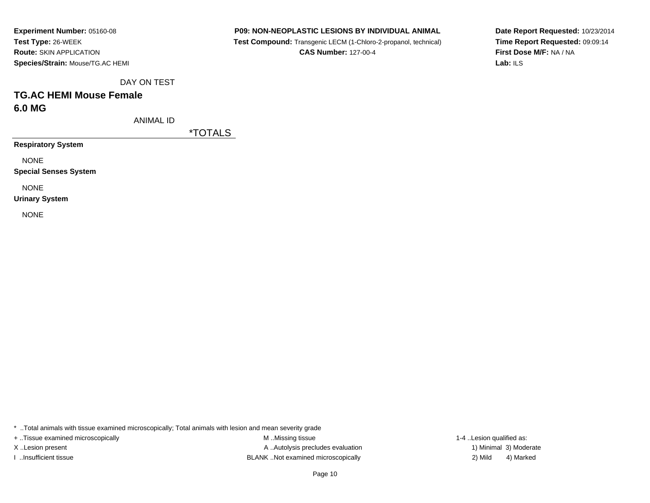**P09: NON-NEOPLASTIC LESIONS BY INDIVIDUAL ANIMAL**

 **Test Compound:** Transgenic LECM (1-Chloro-2-propanol, technical)**CAS Number:** 127-00-4

**Date Report Requested:** 10/23/2014**Time Report Requested:** 09:09:14**First Dose M/F:** NA / NA**Lab:** ILS

DAY ON TEST

# **TG.AC HEMI Mouse Female6.0 MG**

ANIMAL ID

\*TOTALS

**Respiratory System**

NONE

**Special Senses System**

NONE

**Urinary System**

NONE

\* ..Total animals with tissue examined microscopically; Total animals with lesion and mean severity grade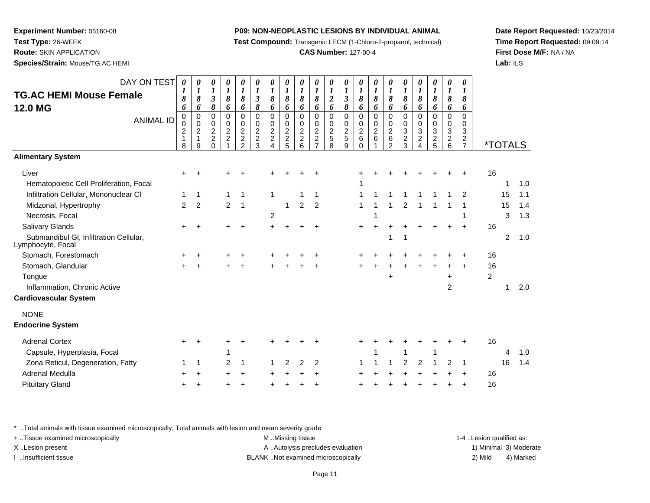**Test Compound:** Transgenic LECM (1-Chloro-2-propanol, technical)

#### **CAS Number:** 127-00-4

**Date Report Requested:** 10/23/2014**Time Report Requested:** 09:09:14**First Dose M/F:** NA / NA**Lab:** ILS

**Species/Strain:** Mouse/TG.AC HEMI

| DAY ON TEST<br><b>TG.AC HEMI Mouse Female</b><br><b>12.0 MG</b><br><b>ANIMAL ID</b>                                                                             | 0<br>$\boldsymbol{l}$<br>8<br>6<br>0<br>0<br>$\overline{c}$<br>$\mathbf{1}$<br>8 | 0<br>$\boldsymbol{l}$<br>$\pmb{8}$<br>6<br>$\mathsf 0$<br>$\overline{0}$<br>$\sqrt{2}$<br>1<br>9 | 0<br>$\boldsymbol{l}$<br>$\boldsymbol{\mathfrak{z}}$<br>8<br>$\mathsf 0$<br>0<br>$\boldsymbol{2}$<br>$\overline{2}$<br>$\Omega$ | 0<br>$\boldsymbol{l}$<br>8<br>6<br>$\mathbf 0$<br>$\pmb{0}$<br>$\frac{2}{2}$<br>$\overline{\mathbf{A}}$ | 0<br>$\boldsymbol{l}$<br>$\pmb{8}$<br>6<br>$\mathbf 0$<br>$\pmb{0}$<br>$\frac{2}{2}$<br>$\mathfrak{D}$ | 0<br>$\boldsymbol{l}$<br>$\boldsymbol{\beta}$<br>$\pmb{8}$<br>$\mathbf 0$<br>$\mathbf 0$<br>$\overline{c}$<br>$\overline{c}$<br>3 | 0<br>$\boldsymbol{l}$<br>8<br>6<br>$\Omega$<br>0<br>$\frac{2}{2}$<br>4 | 0<br>$\boldsymbol{l}$<br>8<br>6<br>$\mathbf 0$<br>0<br>$\overline{c}$<br>$\boldsymbol{2}$<br>5 | $\boldsymbol{l}$<br>8<br>6<br>$\Omega$<br>$\mathbf 0$<br>$\overline{c}$<br>$\overline{2}$<br>6 | 0<br>$\boldsymbol{l}$<br>8<br>6<br>0<br>0<br>$\overline{c}$<br>$\overline{a}$<br>$\overline{7}$ | 0<br>$\boldsymbol{l}$<br>$\overline{\mathbf{c}}$<br>6<br>$\mathbf 0$<br>0<br>$\boldsymbol{2}$<br>5<br>8 | 0<br>$\boldsymbol{l}$<br>$\mathfrak{z}$<br>8<br>$\mathbf 0$<br>$\pmb{0}$<br>$\frac{2}{5}$<br>9 | 0<br>$\boldsymbol{l}$<br>8<br>6<br>$\mathbf 0$<br>0<br>$\overline{c}$<br>6<br>$\Omega$ | 0<br>$\boldsymbol{l}$<br>8<br>6<br>$\mathbf 0$<br>0<br>$\overline{c}$<br>6 | 0<br>$\boldsymbol{l}$<br>8<br>6<br>$\Omega$<br>$\mathbf 0$<br>$\overline{c}$<br>6<br>$\mathcal{P}$ | 0<br>$\boldsymbol{l}$<br>8<br>6<br>$\mathbf 0$<br>0<br>3<br>$\frac{2}{3}$ | 0<br>$\boldsymbol{l}$<br>8<br>6<br>$\mathbf 0$<br>0<br>3<br>$\overline{c}$<br>$\overline{\mathbf{A}}$ | 0<br>$\boldsymbol{l}$<br>8<br>6<br>$\Omega$<br>$\mathbf 0$<br>3<br>$\overline{c}$<br>5 | 0<br>$\boldsymbol{l}$<br>8<br>6<br>0<br>$\mathbf 0$<br>$\mathbf{3}$<br>$\overline{\mathbf{c}}$<br>6 | 0<br>$\boldsymbol{l}$<br>8<br>6<br>$\mathbf 0$<br>0<br>$\overline{3}$<br>$\frac{2}{7}$ | <i><b>*TOTALS</b></i>      |                    |                          |
|-----------------------------------------------------------------------------------------------------------------------------------------------------------------|----------------------------------------------------------------------------------|--------------------------------------------------------------------------------------------------|---------------------------------------------------------------------------------------------------------------------------------|---------------------------------------------------------------------------------------------------------|--------------------------------------------------------------------------------------------------------|-----------------------------------------------------------------------------------------------------------------------------------|------------------------------------------------------------------------|------------------------------------------------------------------------------------------------|------------------------------------------------------------------------------------------------|-------------------------------------------------------------------------------------------------|---------------------------------------------------------------------------------------------------------|------------------------------------------------------------------------------------------------|----------------------------------------------------------------------------------------|----------------------------------------------------------------------------|----------------------------------------------------------------------------------------------------|---------------------------------------------------------------------------|-------------------------------------------------------------------------------------------------------|----------------------------------------------------------------------------------------|-----------------------------------------------------------------------------------------------------|----------------------------------------------------------------------------------------|----------------------------|--------------------|--------------------------|
| <b>Alimentary System</b>                                                                                                                                        |                                                                                  |                                                                                                  |                                                                                                                                 |                                                                                                         |                                                                                                        |                                                                                                                                   |                                                                        |                                                                                                |                                                                                                |                                                                                                 |                                                                                                         |                                                                                                |                                                                                        |                                                                            |                                                                                                    |                                                                           |                                                                                                       |                                                                                        |                                                                                                     |                                                                                        |                            |                    |                          |
| Liver<br>Hematopoietic Cell Proliferation, Focal<br>Infiltration Cellular, Mononuclear CI<br>Midzonal, Hypertrophy<br>Necrosis, Focal<br><b>Salivary Glands</b> | $\pm$<br>1<br>$\overline{2}$<br>+                                                | ÷<br>1<br>$\overline{c}$<br>$\ddot{}$                                                            |                                                                                                                                 | $\mathbf{1}$<br>$\overline{2}$                                                                          | $\mathbf{1}$<br>1                                                                                      |                                                                                                                                   | 1<br>$\overline{c}$<br>÷                                               | 1                                                                                              | $\overline{2}$                                                                                 | 1<br>$\overline{2}$                                                                             |                                                                                                         |                                                                                                | 1<br>1<br>1                                                                            |                                                                            |                                                                                                    | 2                                                                         |                                                                                                       |                                                                                        |                                                                                                     | 2<br>1<br>$\ddot{}$                                                                    | 16<br>16                   | 1<br>15<br>15<br>3 | 1.0<br>1.1<br>1.4<br>1.3 |
| Submandibul GI, Infiltration Cellular,<br>Lymphocyte, Focal                                                                                                     |                                                                                  |                                                                                                  |                                                                                                                                 |                                                                                                         |                                                                                                        |                                                                                                                                   |                                                                        |                                                                                                |                                                                                                |                                                                                                 |                                                                                                         |                                                                                                |                                                                                        |                                                                            | -1                                                                                                 | 1                                                                         |                                                                                                       |                                                                                        |                                                                                                     |                                                                                        |                            | 2                  | 1.0                      |
| Stomach, Forestomach<br>Stomach, Glandular<br>Tongue<br>Inflammation, Chronic Active<br><b>Cardiovascular System</b>                                            | $\div$                                                                           | 4                                                                                                |                                                                                                                                 |                                                                                                         |                                                                                                        |                                                                                                                                   |                                                                        |                                                                                                |                                                                                                |                                                                                                 |                                                                                                         |                                                                                                |                                                                                        |                                                                            | $\ddot{}$                                                                                          |                                                                           |                                                                                                       |                                                                                        | $\ddot{}$<br>$\overline{2}$                                                                         |                                                                                        | 16<br>16<br>$\overline{c}$ | 1                  | 2.0                      |
| <b>NONE</b><br><b>Endocrine System</b>                                                                                                                          |                                                                                  |                                                                                                  |                                                                                                                                 |                                                                                                         |                                                                                                        |                                                                                                                                   |                                                                        |                                                                                                |                                                                                                |                                                                                                 |                                                                                                         |                                                                                                |                                                                                        |                                                                            |                                                                                                    |                                                                           |                                                                                                       |                                                                                        |                                                                                                     |                                                                                        |                            |                    |                          |
| <b>Adrenal Cortex</b><br>Capsule, Hyperplasia, Focal                                                                                                            | $\div$                                                                           | ÷                                                                                                |                                                                                                                                 | 1                                                                                                       | ÷                                                                                                      |                                                                                                                                   |                                                                        |                                                                                                |                                                                                                |                                                                                                 |                                                                                                         |                                                                                                |                                                                                        |                                                                            |                                                                                                    | 1                                                                         |                                                                                                       | 1                                                                                      |                                                                                                     |                                                                                        | 16                         | 4                  | 1.0                      |
| Zona Reticul, Degeneration, Fatty<br>Adrenal Medulla<br><b>Pituitary Gland</b>                                                                                  | ÷                                                                                | 1                                                                                                |                                                                                                                                 | 2                                                                                                       | 1                                                                                                      |                                                                                                                                   |                                                                        | 2                                                                                              | 2                                                                                              | 2                                                                                               |                                                                                                         |                                                                                                |                                                                                        |                                                                            |                                                                                                    | $\overline{2}$                                                            | 2                                                                                                     |                                                                                        | 2                                                                                                   | 1<br>+                                                                                 | 16<br>16                   | 16                 | 1.4                      |

\* ..Total animals with tissue examined microscopically; Total animals with lesion and mean severity grade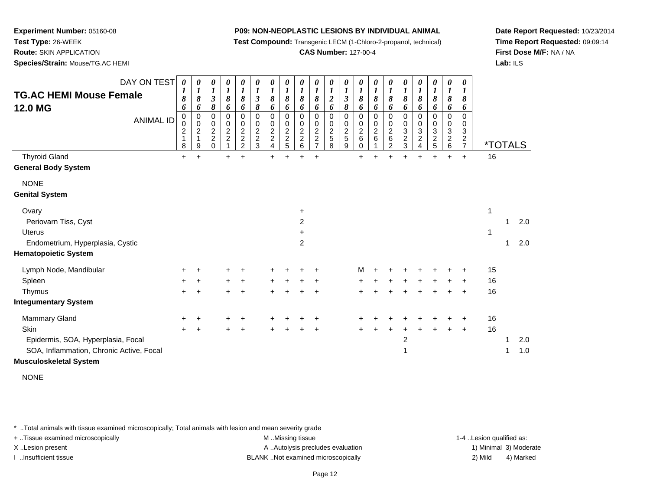**Test Compound:** Transgenic LECM (1-Chloro-2-propanol, technical)

#### **CAS Number:** 127-00-4

**Date Report Requested:** 10/23/2014**Time Report Requested:** 09:09:14**First Dose M/F:** NA / NA**Lab:** ILS

**Experiment Number:** 05160-08**Test Type:** 26-WEEK **Route:** SKIN APPLICATION**Species/Strain:** Mouse/TG.AC HEMI

| <b>TG.AC HEMI Mouse Female</b><br>12.0 MG | DAY ON TEST<br><b>ANIMAL ID</b> | 0<br>1<br>8<br>6<br>0<br>0<br>$\overline{c}$<br>$\mathbf{1}$<br>8 | 0<br>$\boldsymbol{l}$<br>8<br>6<br>0<br>$\pmb{0}$<br>$\overline{\mathbf{c}}$<br>9 | 0<br>$\boldsymbol{l}$<br>$\boldsymbol{\beta}$<br>8<br>0<br>0<br>$\overline{c}$<br>$\overline{2}$<br>$\Omega$ | 0<br>$\boldsymbol{l}$<br>8<br>6<br>0<br>$\mathbf 0$<br>$\boldsymbol{2}$<br>$\boldsymbol{2}$ | 0<br>$\boldsymbol{l}$<br>$\pmb{8}$<br>6<br>0<br>$\pmb{0}$<br>$\frac{2}{2}$ | 0<br>$\boldsymbol{l}$<br>$\mathfrak{z}$<br>8<br>0<br>$\frac{0}{2}$<br>3 | 0<br>$\boldsymbol{l}$<br>8<br>6<br>$\mathbf 0$<br>0<br>$\begin{array}{c} 2 \\ 2 \\ 4 \end{array}$ | 0<br>$\boldsymbol{l}$<br>8<br>6<br>0<br>0<br>$\frac{2}{2}$ | 0<br>$\boldsymbol{l}$<br>$\pmb{8}$<br>6<br>0<br>0<br>$\boldsymbol{2}$<br>$\overline{c}$<br>6 | 0<br>$\boldsymbol{l}$<br>$\pmb{8}$<br>6<br>0<br>0<br>$\frac{2}{2}$<br>$\overline{7}$ | 0<br>$\boldsymbol{l}$<br>$\boldsymbol{2}$<br>6<br>0<br>0<br>$\overline{\mathbf{c}}$<br>5<br>8 | 0<br>$\boldsymbol{l}$<br>$\boldsymbol{\beta}$<br>8<br>0<br>0<br>$\overline{c}$<br>5<br>9 | 0<br>$\boldsymbol{l}$<br>8<br>6<br>0<br>0<br>$\overline{\mathbf{c}}$<br>6<br>0 | 0<br>$\boldsymbol{l}$<br>$\pmb{8}$<br>6<br>0<br>0<br>$\boldsymbol{2}$<br>6 | 0<br>$\boldsymbol{l}$<br>$\pmb{8}$<br>6<br>0<br>0<br>$\begin{array}{c} 2 \\ 6 \end{array}$<br>$\overline{2}$ | 0<br>$\boldsymbol{l}$<br>8<br>6<br>$\mathbf 0$<br>0<br>3<br>$\frac{2}{3}$ | 0<br>1<br>8<br>6<br>0<br>0<br>3<br>$\overline{c}$<br>4 | 0<br>$\boldsymbol{l}$<br>8<br>6<br>0<br>0<br>3<br>$\overline{c}$<br>5 | 0<br>$\boldsymbol{l}$<br>8<br>6<br>0<br>0<br>3<br>$\overline{c}$<br>6 | 0<br>$\boldsymbol{I}$<br>8<br>6<br>$\Omega$<br>0<br>3<br>$\overline{c}$<br>$\overline{7}$ |    | <i><b>*TOTALS</b></i> |     |
|-------------------------------------------|---------------------------------|-------------------------------------------------------------------|-----------------------------------------------------------------------------------|--------------------------------------------------------------------------------------------------------------|---------------------------------------------------------------------------------------------|----------------------------------------------------------------------------|-------------------------------------------------------------------------|---------------------------------------------------------------------------------------------------|------------------------------------------------------------|----------------------------------------------------------------------------------------------|--------------------------------------------------------------------------------------|-----------------------------------------------------------------------------------------------|------------------------------------------------------------------------------------------|--------------------------------------------------------------------------------|----------------------------------------------------------------------------|--------------------------------------------------------------------------------------------------------------|---------------------------------------------------------------------------|--------------------------------------------------------|-----------------------------------------------------------------------|-----------------------------------------------------------------------|-------------------------------------------------------------------------------------------|----|-----------------------|-----|
| <b>Thyroid Gland</b>                      |                                 | $\ddot{}$                                                         | $\ddot{}$                                                                         |                                                                                                              | $+$                                                                                         | $\ddot{}$                                                                  |                                                                         | $\ddot{}$                                                                                         |                                                            | Ŧ.                                                                                           | $\ddot{}$                                                                            |                                                                                               |                                                                                          | $\ddot{}$                                                                      | Ŧ.                                                                         | $\ddot{}$                                                                                                    |                                                                           |                                                        | $\ddot{}$                                                             | +                                                                     | $\ddot{}$                                                                                 | 16 |                       |     |
| <b>General Body System</b>                |                                 |                                                                   |                                                                                   |                                                                                                              |                                                                                             |                                                                            |                                                                         |                                                                                                   |                                                            |                                                                                              |                                                                                      |                                                                                               |                                                                                          |                                                                                |                                                                            |                                                                                                              |                                                                           |                                                        |                                                                       |                                                                       |                                                                                           |    |                       |     |
| <b>NONE</b>                               |                                 |                                                                   |                                                                                   |                                                                                                              |                                                                                             |                                                                            |                                                                         |                                                                                                   |                                                            |                                                                                              |                                                                                      |                                                                                               |                                                                                          |                                                                                |                                                                            |                                                                                                              |                                                                           |                                                        |                                                                       |                                                                       |                                                                                           |    |                       |     |
| <b>Genital System</b>                     |                                 |                                                                   |                                                                                   |                                                                                                              |                                                                                             |                                                                            |                                                                         |                                                                                                   |                                                            |                                                                                              |                                                                                      |                                                                                               |                                                                                          |                                                                                |                                                                            |                                                                                                              |                                                                           |                                                        |                                                                       |                                                                       |                                                                                           |    |                       |     |
| Ovary                                     |                                 |                                                                   |                                                                                   |                                                                                                              |                                                                                             |                                                                            |                                                                         |                                                                                                   |                                                            | $\ddot{}$                                                                                    |                                                                                      |                                                                                               |                                                                                          |                                                                                |                                                                            |                                                                                                              |                                                                           |                                                        |                                                                       |                                                                       |                                                                                           | 1  |                       |     |
| Periovarn Tiss, Cyst                      |                                 |                                                                   |                                                                                   |                                                                                                              |                                                                                             |                                                                            |                                                                         |                                                                                                   |                                                            | $\overline{c}$                                                                               |                                                                                      |                                                                                               |                                                                                          |                                                                                |                                                                            |                                                                                                              |                                                                           |                                                        |                                                                       |                                                                       |                                                                                           |    |                       | 2.0 |
| <b>Uterus</b>                             |                                 |                                                                   |                                                                                   |                                                                                                              |                                                                                             |                                                                            |                                                                         |                                                                                                   |                                                            | +                                                                                            |                                                                                      |                                                                                               |                                                                                          |                                                                                |                                                                            |                                                                                                              |                                                                           |                                                        |                                                                       |                                                                       |                                                                                           | 1  |                       |     |
| Endometrium, Hyperplasia, Cystic          |                                 |                                                                   |                                                                                   |                                                                                                              |                                                                                             |                                                                            |                                                                         |                                                                                                   |                                                            | 2                                                                                            |                                                                                      |                                                                                               |                                                                                          |                                                                                |                                                                            |                                                                                                              |                                                                           |                                                        |                                                                       |                                                                       |                                                                                           |    |                       | 2.0 |
| <b>Hematopoietic System</b>               |                                 |                                                                   |                                                                                   |                                                                                                              |                                                                                             |                                                                            |                                                                         |                                                                                                   |                                                            |                                                                                              |                                                                                      |                                                                                               |                                                                                          |                                                                                |                                                                            |                                                                                                              |                                                                           |                                                        |                                                                       |                                                                       |                                                                                           |    |                       |     |
| Lymph Node, Mandibular                    |                                 |                                                                   |                                                                                   |                                                                                                              |                                                                                             |                                                                            |                                                                         |                                                                                                   |                                                            |                                                                                              |                                                                                      |                                                                                               |                                                                                          | м                                                                              |                                                                            |                                                                                                              |                                                                           |                                                        |                                                                       |                                                                       |                                                                                           | 15 |                       |     |
| Spleen                                    |                                 |                                                                   |                                                                                   |                                                                                                              | ÷                                                                                           |                                                                            |                                                                         |                                                                                                   |                                                            |                                                                                              |                                                                                      |                                                                                               |                                                                                          |                                                                                |                                                                            |                                                                                                              |                                                                           |                                                        |                                                                       |                                                                       |                                                                                           | 16 |                       |     |
| Thymus                                    |                                 |                                                                   | $\ddot{}$                                                                         |                                                                                                              |                                                                                             | +                                                                          |                                                                         |                                                                                                   |                                                            |                                                                                              |                                                                                      |                                                                                               |                                                                                          |                                                                                |                                                                            |                                                                                                              |                                                                           |                                                        |                                                                       |                                                                       | ÷                                                                                         | 16 |                       |     |
| <b>Integumentary System</b>               |                                 |                                                                   |                                                                                   |                                                                                                              |                                                                                             |                                                                            |                                                                         |                                                                                                   |                                                            |                                                                                              |                                                                                      |                                                                                               |                                                                                          |                                                                                |                                                                            |                                                                                                              |                                                                           |                                                        |                                                                       |                                                                       |                                                                                           |    |                       |     |
| Mammary Gland                             |                                 |                                                                   |                                                                                   |                                                                                                              |                                                                                             |                                                                            |                                                                         |                                                                                                   |                                                            |                                                                                              |                                                                                      |                                                                                               |                                                                                          |                                                                                |                                                                            |                                                                                                              |                                                                           |                                                        |                                                                       |                                                                       |                                                                                           | 16 |                       |     |
| Skin                                      |                                 | +                                                                 | +                                                                                 |                                                                                                              |                                                                                             | +                                                                          |                                                                         |                                                                                                   |                                                            |                                                                                              |                                                                                      |                                                                                               |                                                                                          |                                                                                |                                                                            |                                                                                                              |                                                                           |                                                        |                                                                       |                                                                       | $\ddot{}$                                                                                 | 16 |                       |     |
| Epidermis, SOA, Hyperplasia, Focal        |                                 |                                                                   |                                                                                   |                                                                                                              |                                                                                             |                                                                            |                                                                         |                                                                                                   |                                                            |                                                                                              |                                                                                      |                                                                                               |                                                                                          |                                                                                |                                                                            |                                                                                                              | 2                                                                         |                                                        |                                                                       |                                                                       |                                                                                           |    |                       | 2.0 |
| SOA, Inflammation, Chronic Active, Focal  |                                 |                                                                   |                                                                                   |                                                                                                              |                                                                                             |                                                                            |                                                                         |                                                                                                   |                                                            |                                                                                              |                                                                                      |                                                                                               |                                                                                          |                                                                                |                                                                            |                                                                                                              | 1                                                                         |                                                        |                                                                       |                                                                       |                                                                                           |    |                       | 1.0 |
| <b>Musculoskeletal System</b>             |                                 |                                                                   |                                                                                   |                                                                                                              |                                                                                             |                                                                            |                                                                         |                                                                                                   |                                                            |                                                                                              |                                                                                      |                                                                                               |                                                                                          |                                                                                |                                                                            |                                                                                                              |                                                                           |                                                        |                                                                       |                                                                       |                                                                                           |    |                       |     |

NONE

\* ..Total animals with tissue examined microscopically; Total animals with lesion and mean severity grade

+ ..Tissue examined microscopically examined microscopically examined as:  $M$  ..Missing tissue 1-4 ..Lesion qualified as: X..Lesion present **A ..Autolysis precludes evaluation** A ..Autolysis precludes evaluation 1) Minimal 3) Moderate

I ..Insufficient tissue BLANK ..Not examined microscopically 2) Mild 4) Marked